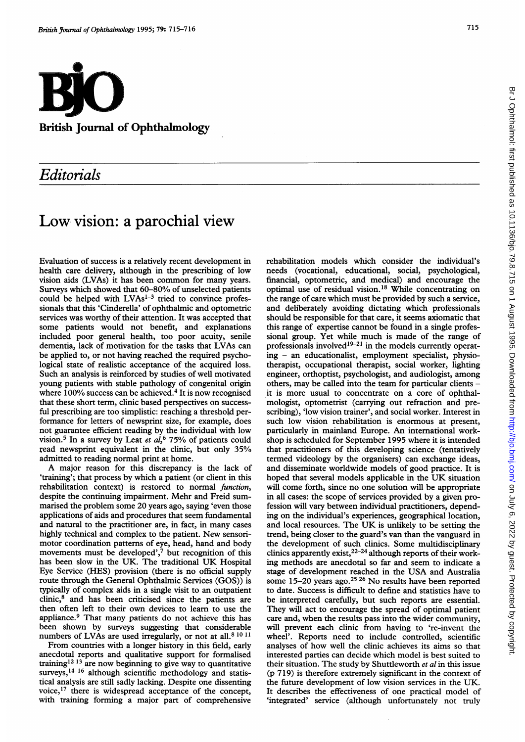

## Editorials

## Low vision: <sup>a</sup> parochial view

Evaluation of success is a relatively recent development in health care delivery, although in the prescribing of low vision aids (LVAs) it has been common for many years. Surveys which showed that 60-80% of unselected patients could be helped with LVAs<sup>1-3</sup> tried to convince professionals that this 'Cinderella' of ophthalmic and optometric services was worthy of their attention. It was accepted that some patients would not benefit, and explanations included poor general health, too poor acuity, senile dementia, lack of motivation for the tasks that LVAs can be applied to, or not having reached the required psychological state of realistic acceptance of the acquired loss. Such an analysis is reinforced by studies of well motivated young patients with stable pathology of congenital origin where 100% success can be achieved.<sup>4</sup> It is now recognised that these short term, clinic based perspectives on successful prescribing are too simplistic: reaching a threshold performance for letters of newsprint size, for example, does not guarantee efficient reading by the individual with low vision.<sup>5</sup> In a survey by Leat et  $a\tilde{b}$  75% of patients could read newsprint equivalent in the clinic, but only 35% admitted to reading normal print at home.

A major reason for this discrepancy is the lack of 'training'; that process by which a patient (or client in this rehabilitation context) is restored to normal function, despite the continuing impairment. Mehr and Freid summarised the problem some 20 years ago, saying 'even those applications of aids and procedures that seem fundamental and natural to the practitioner are, in fact, in many cases highly technical and complex to the patient. New sensorimotor coordination patterns of eye, head, hand and body movements must be developed', $\frac{7}{7}$  but recognition of this has been slow in the UK. The traditional UK Hospital Eye Service (HES) provision (there is no official supply route through the General Ophthalmic Services (GOS)) is typically of complex aids in a single visit to an outpatient clinic,8 and has been criticised since the patients are then often left to their own devices to learn to use the appliance.9 That many patients do not achieve this has been shown by surveys suggesting that considerable numbers of LVAs are used irregularly, or not at all.<sup>8 10 11</sup>

From countries with a longer history in this field, early anecdotal reports and qualitative support for formalised training<sup>12 13</sup> are now beginning to give way to quantitative  $s$ urveys,<sup>14-16</sup> although scientific methodology and statistical analysis are still sadly lacking. Despite one dissenting voice,17 there is widespread acceptance of the concept, with training forming a major part of comprehensive rehabilitation models which consider the individual's needs (vocational, educational, social, psychological, financial, optometric, and medical) and encourage the optimal use of residual vision.18 While concentrating on the range of care which must be provided by such a service, and deliberately avoiding dictating which professionals should be responsible for that care, it seems axiomatic that this range of expertise cannot be found in a single professional group. Yet while much is made of the range of professionals involved<sup>19-21</sup> in the models currently operating - an educationalist, employment specialist, physiotherapist, occupational therapist, social worker, lighting engineer, orthoptist, psychologist, and audiologist, among others, may be called into the team for particular clients it is more usual to concentrate on a core of ophthalmologist, optometrist (carrying out refraction and prescribing), 'low vision trainer', and social worker. Interest in such low vision rehabilitation is enormous at present, particularly in mainland Europe. An international workshop is scheduled for September 1995 where it is intended that practitioners of this developing science (tentatively termed videology by the organisers) can exchange ideas, and disseminate worldwide models of good practice. It is hoped that several models applicable in the UK situation will come forth, since no one solution will be appropriate in all cases: the scope of services provided by a given profession will vary between individual practitioners, depending on the individual's experiences, geographical location, and local resources. The UK is unlikely to be setting the trend, being closer to the guard's van than the vanguard in the development of such clinics. Some multidisciplinary clinics apparently exist,  $2^{2-24}$  although reports of their working methods are anecdotal so far and seem to indicate a stage of development reached in the USA and Australia some 15-20 years ago.<sup>25 26</sup> No results have been reported to date. Success is difficult to define and statistics have to be interpreted carefully, but such reports are essential. They will act to encourage the spread of optimal patient care and, when the results pass into the wider community, will prevent each clinic from having to 're-invent the wheel'. Reports need to include controlled, scientific analyses of how well the clinic achieves its aims so that interested parties can decide which model is best suited to their situation. The study by Shuttleworth et al in this issue (p 719) is therefore extremely significant in the context of the future development of low vision services in the UK. It describes the effectiveness of one practical model of 'integrated' service (although unfortunately not truly